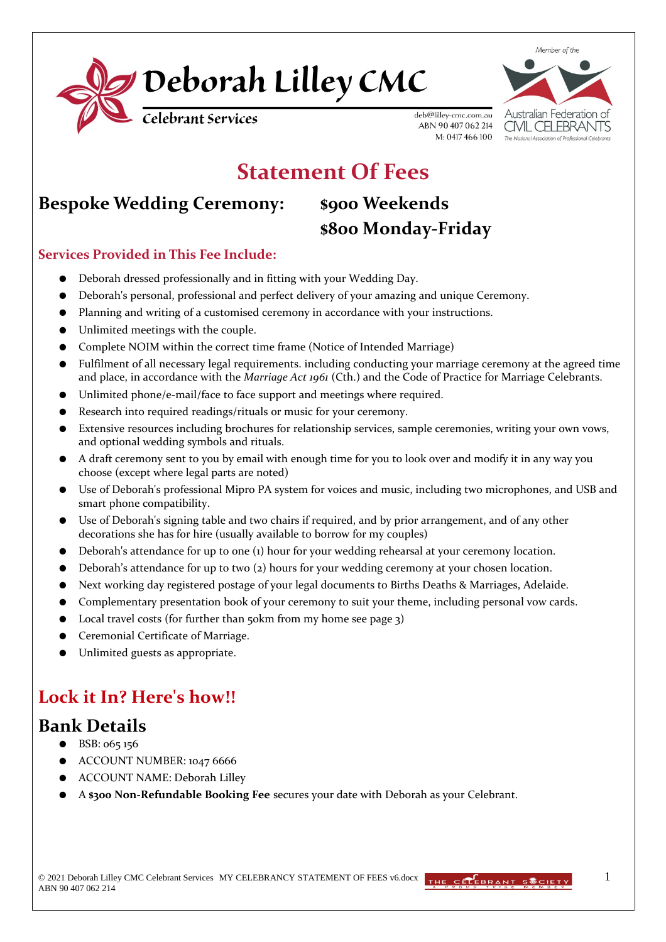



# **Statement Of Fees**

## **Bespoke Wedding Ceremony: \$900 Weekends**

# **\$800 Monday-Friday**

M: 0417 466 100

#### **Services Provided in This Fee Include:**

- Deborah dressed professionally and in fitting with your Wedding Day.
- Deborah's personal, professional and perfect delivery of your amazing and unique Ceremony.
- Planning and writing of a customised ceremony in accordance with your instructions.
- Unlimited meetings with the couple.
- Complete NOIM within the correct time frame (Notice of Intended Marriage)
- Fulfilment of all necessary legal requirements. including conducting your marriage ceremony at the agreed time and place, in accordance with the *Marriage Act 1961* (Cth.) and the Code of Practice for Marriage Celebrants.
- Unlimited phone/e-mail/face to face support and meetings where required.
- Research into required readings/rituals or music for your ceremony.
- Extensive resources including brochures for relationship services, sample ceremonies, writing your own vows, and optional wedding symbols and rituals.
- A draft ceremony sent to you by email with enough time for you to look over and modify it in any way you choose (except where legal parts are noted)
- Use of Deborah's professional Mipro PA system for voices and music, including two microphones, and USB and smart phone compatibility.
- Use of Deborah's signing table and two chairs if required, and by prior arrangement, and of any other decorations she has for hire (usually available to borrow for my couples)
- Deborah's attendance for up to one (1) hour for your wedding rehearsal at your ceremony location.
- Deborah's attendance for up to two  $(z)$  hours for your wedding ceremony at your chosen location.
- Next working day registered postage of your legal documents to Births Deaths & Marriages, Adelaide.
- Complementary presentation book of your ceremony to suit your theme, including personal vow cards.
- Local travel costs (for further than  $50km$  from my home see page  $3)$
- Ceremonial Certificate of Marriage.
- Unlimited guests as appropriate.

## **Lock it In? Here's how!!**

#### **Bank Details**

- BSB: 065 156
- ACCOUNT NUMBER: 1047 6666
- ACCOUNT NAME: Deborah Lilley
- A **\$300 Non-Refundable Booking Fee** secures your date with Deborah as your Celebrant.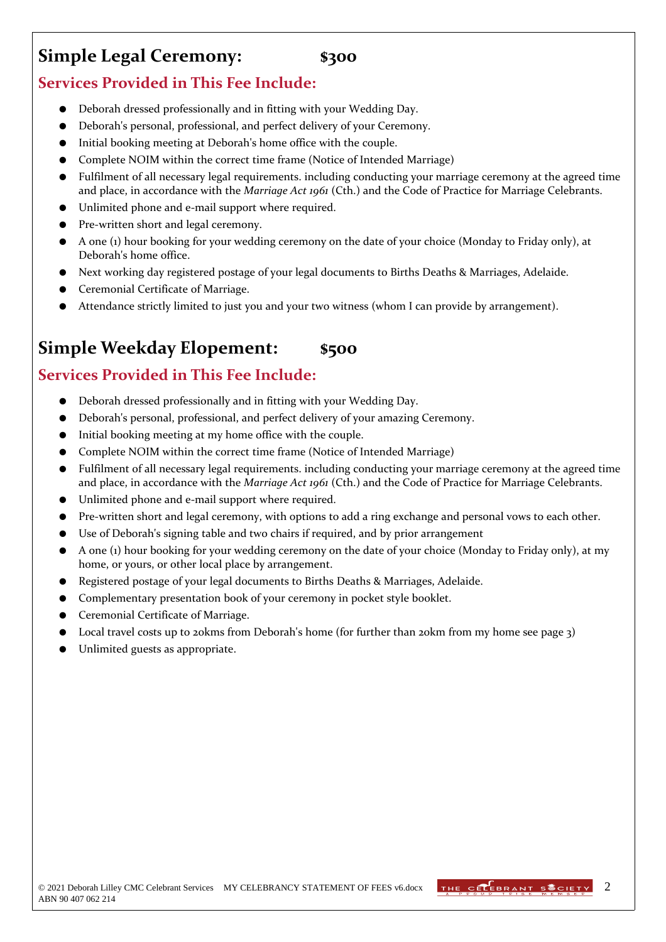# **Simple Legal Ceremony: \$300**

#### **Services Provided in This Fee Include:**

- Deborah dressed professionally and in fitting with your Wedding Day.
- Deborah's personal, professional, and perfect delivery of your Ceremony.
- Initial booking meeting at Deborah's home office with the couple.
- Complete NOIM within the correct time frame (Notice of Intended Marriage)
- Fulfilment of all necessary legal requirements. including conducting your marriage ceremony at the agreed time and place, in accordance with the *Marriage Act 1961* (Cth.) and the Code of Practice for Marriage Celebrants.
- Unlimited phone and e-mail support where required.
- Pre-written short and legal ceremony.
- A one (1) hour booking for your wedding ceremony on the date of your choice (Monday to Friday only), at Deborah's home office.
- Next working day registered postage of your legal documents to Births Deaths & Marriages, Adelaide.
- Ceremonial Certificate of Marriage.
- Attendance strictly limited to just you and your two witness (whom I can provide by arrangement).

# **Simple Weekday Elopement: \$500**

### **Services Provided in This Fee Include:**

- Deborah dressed professionally and in fitting with your Wedding Day.
- Deborah's personal, professional, and perfect delivery of your amazing Ceremony.
- Initial booking meeting at my home office with the couple.
- Complete NOIM within the correct time frame (Notice of Intended Marriage)
- Fulfilment of all necessary legal requirements. including conducting your marriage ceremony at the agreed time and place, in accordance with the *Marriage Act 1961* (Cth.) and the Code of Practice for Marriage Celebrants.
- Unlimited phone and e-mail support where required.
- Pre-written short and legal ceremony, with options to add a ring exchange and personal vows to each other.
- Use of Deborah's signing table and two chairs if required, and by prior arrangement
- A one (1) hour booking for your wedding ceremony on the date of your choice (Monday to Friday only), at my home, or yours, or other local place by arrangement.
- Registered postage of your legal documents to Births Deaths & Marriages, Adelaide.
- Complementary presentation book of your ceremony in pocket style booklet.
- Ceremonial Certificate of Marriage.
- Local travel costs up to 20kms from Deborah's home (for further than 20km from my home see page 3)
- Unlimited guests as appropriate.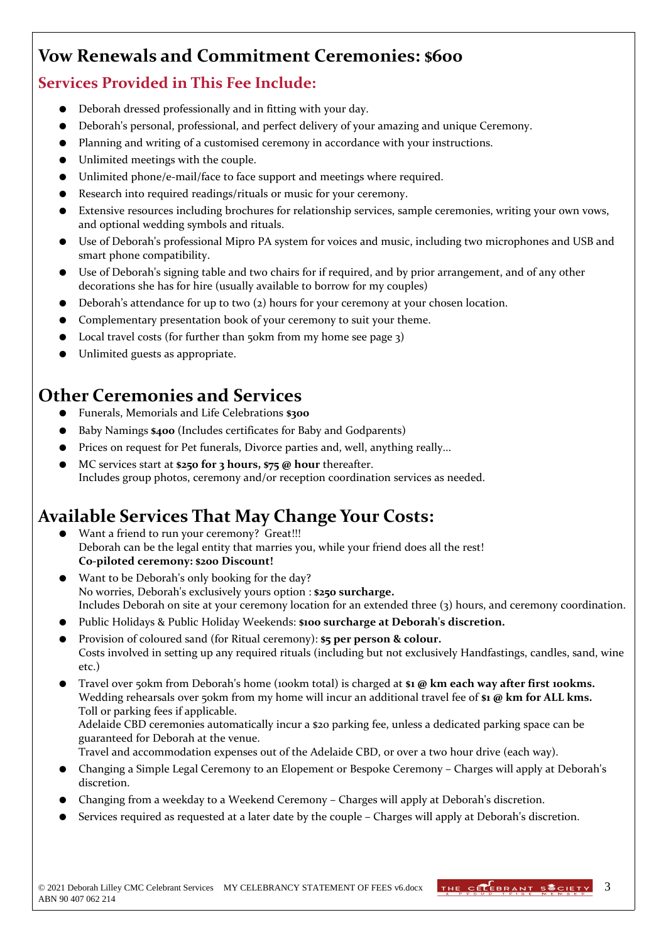# **Vow Renewals and Commitment Ceremonies: \$600**

#### **Services Provided in This Fee Include:**

- Deborah dressed professionally and in fitting with your day.
- Deborah's personal, professional, and perfect delivery of your amazing and unique Ceremony.
- Planning and writing of a customised ceremony in accordance with your instructions.
- Unlimited meetings with the couple.
- Unlimited phone/e-mail/face to face support and meetings where required.
- Research into required readings/rituals or music for your ceremony.
- Extensive resources including brochures for relationship services, sample ceremonies, writing your own vows, and optional wedding symbols and rituals.
- Use of Deborah's professional Mipro PA system for voices and music, including two microphones and USB and smart phone compatibility.
- Use of Deborah's signing table and two chairs for if required, and by prior arrangement, and of any other decorations she has for hire (usually available to borrow for my couples)
- Deborah's attendance for up to two  $(z)$  hours for your ceremony at your chosen location.
- Complementary presentation book of your ceremony to suit your theme.
- Local travel costs (for further than  $50km$  from my home see page  $3$ )
- Unlimited guests as appropriate.

## **Other Ceremonies and Services**

- Funerals, Memorials and Life Celebrations **\$300**
- Baby Namings \$400 (Includes certificates for Baby and Godparents)
- Prices on request for Pet funerals, Divorce parties and, well, anything really...
- MC services start at **\$250 for 3 hours, \$75 @ hour** thereafter. Includes group photos, ceremony and/or reception coordination services as needed.

# **Available Services That May Change Your Costs:**

- Want a friend to run your ceremony? Great!!! Deborah can be the legal entity that marries you, while your friend does all the rest! **Co-piloted ceremony: \$200 Discount!**
- Want to be Deborah's only booking for the day? No worries, Deborah's exclusively yours option : **\$250 surcharge.** Includes Deborah on site at your ceremony location for an extended three (3) hours, and ceremony coordination.
- Public Holidays & Public Holiday Weekends: **\$100 surcharge at Deborah's discretion.**
- Provision of coloured sand (for Ritual ceremony): **\$5 per person & colour.** Costs involved in setting up any required rituals (including but not exclusively Handfastings, candles, sand, wine etc.)
- Travel over 50km from Deborah's home (100km total) is charged at **\$1 @ km each way after first 100kms.** Wedding rehearsals over 50km from my home will incur an additional travel fee of \$1 @ km for ALL kms. Toll or parking fees if applicable.

Adelaide CBD ceremonies automatically incur a \$20 parking fee, unless a dedicated parking space can be guaranteed for Deborah at the venue.

Travel and accommodation expenses out of the Adelaide CBD, or over a two hour drive (each way).

- Changing a Simple Legal Ceremony to an Elopement or Bespoke Ceremony Charges will apply at Deborah's discretion.
- Changing from a weekday to a Weekend Ceremony Charges will apply at Deborah's discretion.
- Services required as requested at a later date by the couple Charges will apply at Deborah's discretion.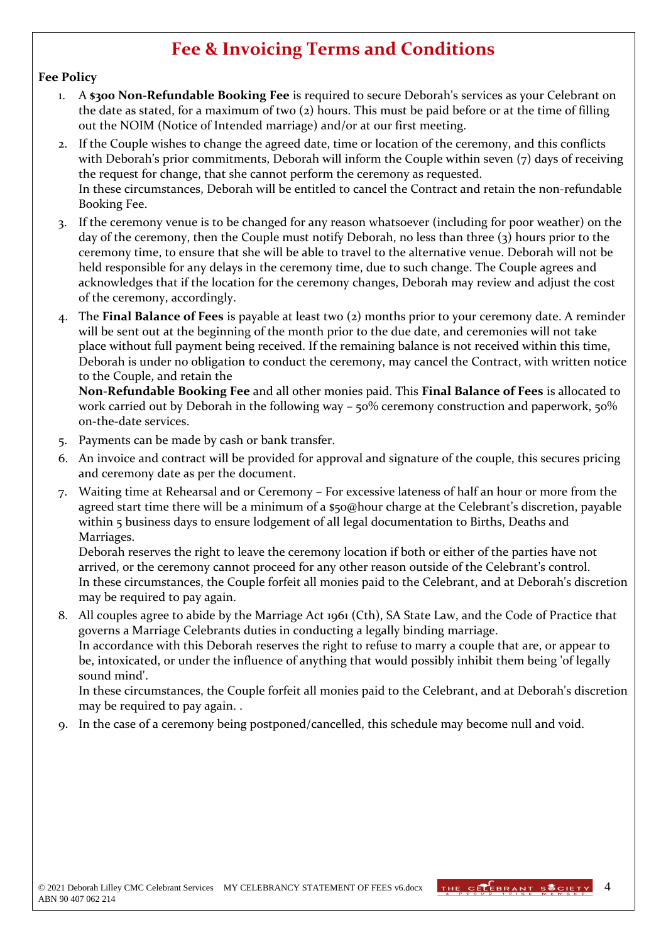## **Fee & Invoicing Terms and Conditions**

#### **Fee Policy**

- 1. A **\$300 Non-Refundable Booking Fee** is required to secure Deborah's services as your Celebrant on the date as stated, for a maximum of two (2) hours. This must be paid before or at the time of filling out the NOIM (Notice of Intended marriage) and/or at our first meeting.
- 2. If the Couple wishes to change the agreed date, time or location of the ceremony, and this conflicts with Deborah's prior commitments, Deborah will inform the Couple within seven (7) days of receiving the request for change, that she cannot perform the ceremony as requested. In these circumstances, Deborah will be entitled to cancel the Contract and retain the non-refundable Booking Fee.
- 3. If the ceremony venue is to be changed for any reason whatsoever (including for poor weather) on the day of the ceremony, then the Couple must notify Deborah, no less than three (3) hours prior to the ceremony time, to ensure that she will be able to travel to the alternative venue. Deborah will not be held responsible for any delays in the ceremony time, due to such change. The Couple agrees and acknowledges that if the location for the ceremony changes, Deborah may review and adjust the cost of the ceremony, accordingly.
- 4. The **Final Balance of Fees** is payable at least two (2) months prior to your ceremony date. A reminder will be sent out at the beginning of the month prior to the due date, and ceremonies will not take place without full payment being received. If the remaining balance is not received within this time, Deborah is under no obligation to conduct the ceremony, may cancel the Contract, with written notice to the Couple, and retain the

**Non-Refundable Booking Fee** and all other monies paid. This **Final Balance of Fees** is allocated to work carried out by Deborah in the following way – 50% ceremony construction and paperwork, 50% on-the-date services.

- 5. Payments can be made by cash or bank transfer.
- 6. An invoice and contract will be provided for approval and signature of the couple, this secures pricing and ceremony date as per the document.
- 7. Waiting time at Rehearsal and or Ceremony For excessive lateness of half an hour or more from the agreed start time there will be a minimum of a \$50@hour charge at the Celebrant's discretion, payable within 5 business days to ensure lodgement of all legal documentation to Births, Deaths and Marriages.

Deborah reserves the right to leave the ceremony location if both or either of the parties have not arrived, or the ceremony cannot proceed for any other reason outside of the Celebrant's control. In these circumstances, the Couple forfeit all monies paid to the Celebrant, and at Deborah's discretion may be required to pay again.

8. All couples agree to abide by the Marriage Act 1961 (Cth), SA State Law, and the Code of Practice that governs a Marriage Celebrants duties in conducting a legally binding marriage. In accordance with this Deborah reserves the right to refuse to marry a couple that are, or appear to be, intoxicated, or under the influence of anything that would possibly inhibit them being 'of legally sound mind'.

In these circumstances, the Couple forfeit all monies paid to the Celebrant, and at Deborah's discretion may be required to pay again. .

In the case of a ceremony being postponed/cancelled, this schedule may become null and void.